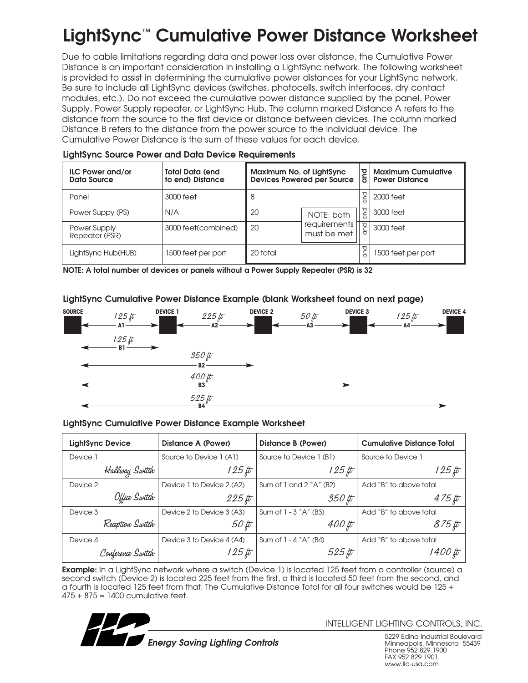# **LightSync**™ **Cumulative Power Distance Worksheet**

Due to cable limitations regarding data and power loss over distance, the Cumulative Power Distance is an important consideration in installing a LightSync network. The following worksheet is provided to assist in determining the cumulative power distances for your LightSync network. Be sure to include all LightSync devices (switches, photocells, switch interfaces, dry contact modules, etc.). Do not exceed the cumulative power distance supplied by the panel, Power Supply, Power Supply repeater, or LightSync Hub. The column marked Distance A refers to the distance from the source to the first device or distance between devices. The column marked Distance B refers to the distance from the power source to the individual device. The Cumulative Power Distance is the sum of these values for each device.

| <b>ILC Power and/or</b><br>Data Source | <b>Total Data (end)</b><br>to end) Distance | Maximum No. of LightSync<br><b>Devices Powered per Source</b> |                             | and      | <b>Maximum Cumulative</b><br><b>Power Distance</b> |
|----------------------------------------|---------------------------------------------|---------------------------------------------------------------|-----------------------------|----------|----------------------------------------------------|
| Panel                                  | 3000 feet                                   | 8                                                             |                             | putc     | 2000 feet                                          |
| Power Suppy (PS)                       | N/A                                         | 20                                                            | NOTE: both                  | a<br>B   | 3000 feet                                          |
| Power Supply<br>Repeater (PSR)         | 3000 feet(combined)                         | 20                                                            | requirements<br>must be met | and      | 3000 feet                                          |
| LightSync Hub(HUB)                     | 1500 feet per port                          | 20 total                                                      |                             | and<br>G | 1500 feet per port                                 |

#### **LightSync Source Power and Data Device Requirements**

**NOTE: A total number of devices or panels without a Power Supply Repeater (PSR) is 32**

### **LightSync Cumulative Power Distance Example (blank Worksheet found on next page)**



#### **LightSync Cumulative Power Distance Example Worksheet**

| <b>LightSync Device</b> |                   | Distance A (Power)        | Distance B (Power)        | <b>Cumulative Distance Total</b> |
|-------------------------|-------------------|---------------------------|---------------------------|----------------------------------|
| Device 1                |                   | Source to Device 1 (A1)   | Source to Device 1 (B1)   | Source to Device 1               |
|                         | Hallway Switch    | $125 \, \text{ft}$        | $125 \, \mu$              | $125 \, \mu$                     |
| Device 2                |                   | Device 1 to Device 2 (A2) | Sum of 1 and $2$ "A" (B2) | Add "B" to above total           |
|                         | Office Switch     | $225$ ft                  | $350\,\hbox{\it \#}$      | $475 \, \mu$                     |
| Device 3                |                   | Device 2 to Device 3 (A3) | Sum of 1 - 3 "A" (B3)     | Add "B" to above total           |
|                         | Reception Switch  | $50 \, \mu$               | $400 \, \text{ft}$        | 875 ft                           |
| Device 4                |                   | Device 3 to Device 4 (A4) | Sum of $1 - 4$ $A''$ (B4) | Add "B" to above total           |
|                         | Conference Switch | 1 25 ft                   | $525 \, \#$               | 1400 ft                          |

**Example:** In a LightSync network where a switch (Device 1) is located 125 feet from a controller (source) a second switch (Device 2) is located 225 feet from the first, a third is located 50 feet from the second, and a fourth is located 125 feet from that. The Cumulative Distance Total for all four switches would be 125 + 475 + 875 = 1400 cumulative feet.



INTELLIGENT LIGHTING CONTROLS, INC.

5229 Edina Industrial Boulevard Minneapolis. Minnesota 55439 Phone 952 829 1900 FAX 952 829 1901 www.ilc-usa.com